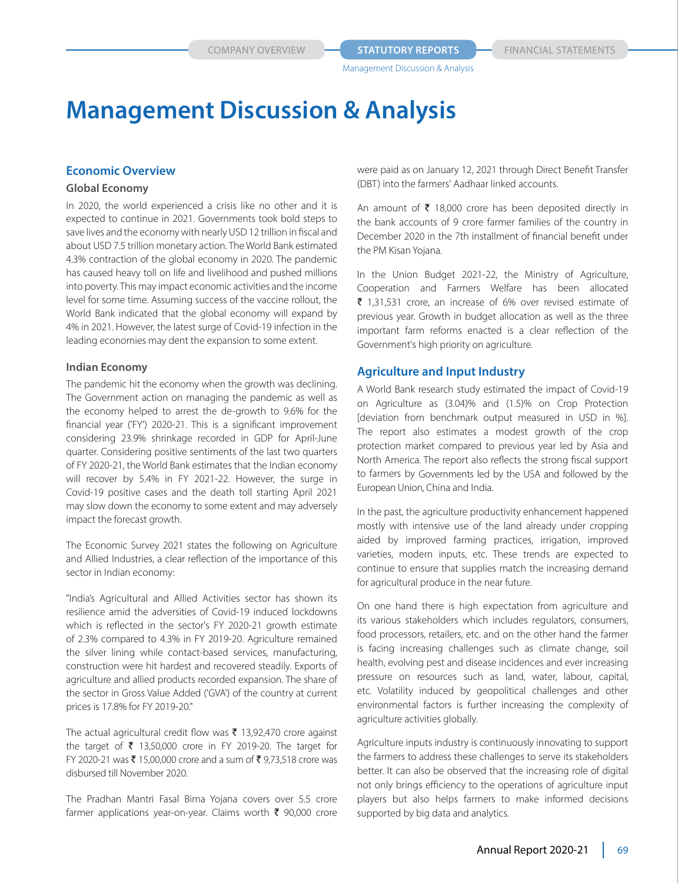#### **Economic Overview**

#### **Global Economy**

In 2020, the world experienced a crisis like no other and it is expected to continue in 2021. Governments took bold steps to save lives and the economy with nearly USD 12 trillion in fiscal and about USD 7.5 trillion monetary action. The World Bank estimated 4.3% contraction of the global economy in 2020. The pandemic has caused heavy toll on life and livelihood and pushed millions into poverty. This may impact economic activities and the income level for some time. Assuming success of the vaccine rollout, the World Bank indicated that the global economy will expand by 4% in 2021. However, the latest surge of Covid-19 infection in the leading economies may dent the expansion to some extent.

#### **Indian Economy**

The pandemic hit the economy when the growth was declining. The Government action on managing the pandemic as well as the economy helped to arrest the de-growth to 9.6% for the financial year ('FY') 2020-21. This is a significant improvement considering 23.9% shrinkage recorded in GDP for April-June quarter. Considering positive sentiments of the last two quarters of FY 2020-21, the World Bank estimates that the Indian economy will recover by 5.4% in FY 2021-22. However, the surge in Covid-19 positive cases and the death toll starting April 2021 may slow down the economy to some extent and may adversely impact the forecast growth.

The Economic Survey 2021 states the following on Agriculture and Allied Industries, a clear reflection of the importance of this sector in Indian economy:

"India's Agricultural and Allied Activities sector has shown its resilience amid the adversities of Covid-19 induced lockdowns which is reflected in the sector's FY 2020-21 growth estimate of 2.3% compared to 4.3% in FY 2019-20. Agriculture remained the silver lining while contact-based services, manufacturing, construction were hit hardest and recovered steadily. Exports of agriculture and allied products recorded expansion. The share of the sector in Gross Value Added ('GVA') of the country at current prices is 17.8% for FY 2019-20."

The actual agricultural credit flow was  $\bar{\tau}$  13,92,470 crore against the target of  $\bar{\tau}$  13,50,000 crore in FY 2019-20. The target for FY 2020-21 was ₹ 15,00,000 crore and a sum of ₹ 9,73,518 crore was disbursed till November 2020.

The Pradhan Mantri Fasal Bima Yojana covers over 5.5 crore farmer applications year-on-year. Claims worth  $\bar{\tau}$  90,000 crore were paid as on January 12, 2021 through Direct Benefit Transfer (DBT) into the farmers' Aadhaar linked accounts.

An amount of  $\bar{\tau}$  18,000 crore has been deposited directly in the bank accounts of 9 crore farmer families of the country in December 2020 in the 7th installment of financial benefit under the PM Kisan Yojana.

In the Union Budget 2021-22, the Ministry of Agriculture, Cooperation and Farmers Welfare has been allocated  $\bar{\tau}$  1,31,531 crore, an increase of 6% over revised estimate of previous year. Growth in budget allocation as well as the three important farm reforms enacted is a clear reflection of the Government's high priority on agriculture.

# **Agriculture and Input Industry**

A World Bank research study estimated the impact of Covid-19 on Agriculture as (3.04)% and (1.5)% on Crop Protection [deviation from benchmark output measured in USD in %]. The report also estimates a modest growth of the crop protection market compared to previous year led by Asia and North America. The report also reflects the strong fiscal support to farmers by Governments led by the USA and followed by the European Union, China and India.

In the past, the agriculture productivity enhancement happened mostly with intensive use of the land already under cropping aided by improved farming practices, irrigation, improved varieties, modern inputs, etc. These trends are expected to continue to ensure that supplies match the increasing demand for agricultural produce in the near future.

On one hand there is high expectation from agriculture and its various stakeholders which includes regulators, consumers, food processors, retailers, etc. and on the other hand the farmer is facing increasing challenges such as climate change, soil health, evolving pest and disease incidences and ever increasing pressure on resources such as land, water, labour, capital, etc. Volatility induced by geopolitical challenges and other environmental factors is further increasing the complexity of agriculture activities globally.

Agriculture inputs industry is continuously innovating to support the farmers to address these challenges to serve its stakeholders better. It can also be observed that the increasing role of digital not only brings efficiency to the operations of agriculture input players but also helps farmers to make informed decisions supported by big data and analytics.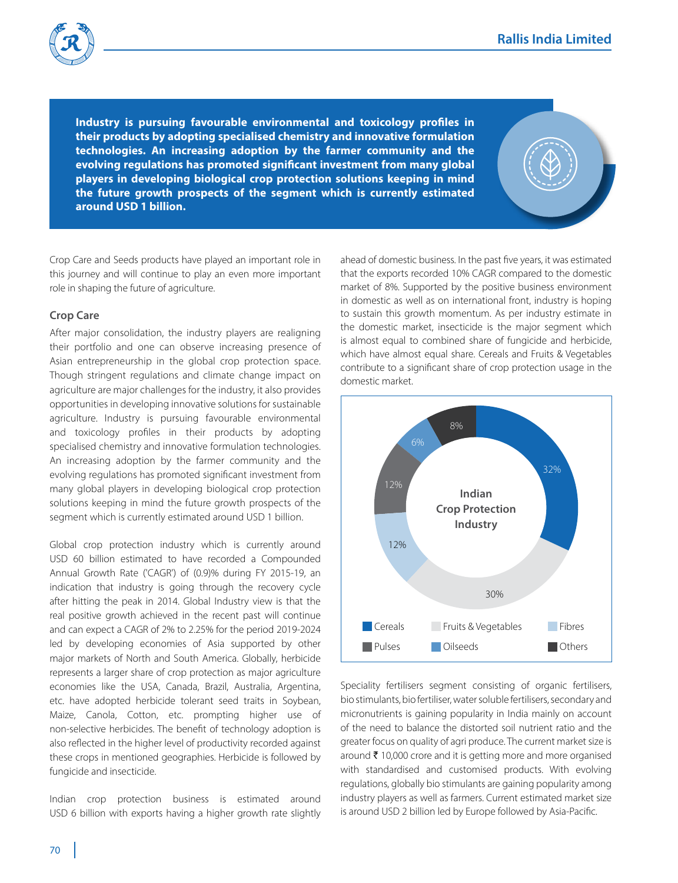

**Industry is pursuing favourable environmental and toxicology profiles in their products by adopting specialised chemistry and innovative formulation technologies. An increasing adoption by the farmer community and the evolving regulations has promoted significant investment from many global players in developing biological crop protection solutions keeping in mind the future growth prospects of the segment which is currently estimated around USD 1 billion.**

Crop Care and Seeds products have played an important role in this journey and will continue to play an even more important role in shaping the future of agriculture.

#### **Crop Care**

After major consolidation, the industry players are realigning their portfolio and one can observe increasing presence of Asian entrepreneurship in the global crop protection space. Though stringent regulations and climate change impact on agriculture are major challenges for the industry, it also provides opportunities in developing innovative solutions for sustainable agriculture. Industry is pursuing favourable environmental and toxicology profiles in their products by adopting specialised chemistry and innovative formulation technologies. An increasing adoption by the farmer community and the evolving regulations has promoted significant investment from many global players in developing biological crop protection solutions keeping in mind the future growth prospects of the segment which is currently estimated around USD 1 billion.

Global crop protection industry which is currently around USD 60 billion estimated to have recorded a Compounded Annual Growth Rate ('CAGR') of (0.9)% during FY 2015-19, an indication that industry is going through the recovery cycle after hitting the peak in 2014. Global Industry view is that the real positive growth achieved in the recent past will continue and can expect a CAGR of 2% to 2.25% for the period 2019-2024 led by developing economies of Asia supported by other major markets of North and South America. Globally, herbicide represents a larger share of crop protection as major agriculture economies like the USA, Canada, Brazil, Australia, Argentina, etc. have adopted herbicide tolerant seed traits in Soybean, Maize, Canola, Cotton, etc. prompting higher use of non-selective herbicides. The benefit of technology adoption is also reflected in the higher level of productivity recorded against these crops in mentioned geographies. Herbicide is followed by fungicide and insecticide.

Indian crop protection business is estimated around USD 6 billion with exports having a higher growth rate slightly ahead of domestic business. In the past five years, it was estimated that the exports recorded 10% CAGR compared to the domestic market of 8%. Supported by the positive business environment in domestic as well as on international front, industry is hoping to sustain this growth momentum. As per industry estimate in the domestic market, insecticide is the major segment which is almost equal to combined share of fungicide and herbicide, which have almost equal share. Cereals and Fruits & Vegetables contribute to a significant share of crop protection usage in the domestic market.



Speciality fertilisers segment consisting of organic fertilisers, bio stimulants, bio fertiliser, water soluble fertilisers, secondary and micronutrients is gaining popularity in India mainly on account of the need to balance the distorted soil nutrient ratio and the greater focus on quality of agri produce. The current market size is around  $\bar{\tau}$  10,000 crore and it is getting more and more organised with standardised and customised products. With evolving regulations, globally bio stimulants are gaining popularity among industry players as well as farmers. Current estimated market size is around USD 2 billion led by Europe followed by Asia-Pacific.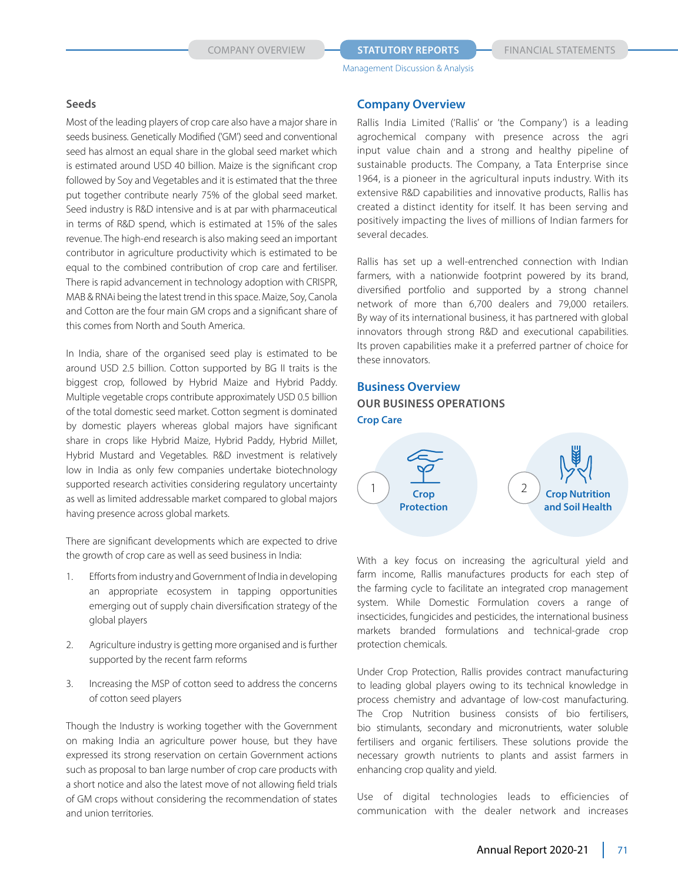#### **COMPANY OVERVIEW <b>STATUTORY REPORTS** FINANCIAL STATEMENTS

Management Discussion & Analysis

#### **Seeds**

Most of the leading players of crop care also have a major share in seeds business. Genetically Modified ('GM') seed and conventional seed has almost an equal share in the global seed market which is estimated around USD 40 billion. Maize is the significant crop followed by Soy and Vegetables and it is estimated that the three put together contribute nearly 75% of the global seed market. Seed industry is R&D intensive and is at par with pharmaceutical in terms of R&D spend, which is estimated at 15% of the sales revenue. The high-end research is also making seed an important contributor in agriculture productivity which is estimated to be equal to the combined contribution of crop care and fertiliser. There is rapid advancement in technology adoption with CRISPR, MAB & RNAi being the latest trend in this space. Maize, Soy, Canola and Cotton are the four main GM crops and a significant share of this comes from North and South America.

In India, share of the organised seed play is estimated to be around USD 2.5 billion. Cotton supported by BG II traits is the biggest crop, followed by Hybrid Maize and Hybrid Paddy. Multiple vegetable crops contribute approximately USD 0.5 billion of the total domestic seed market. Cotton segment is dominated by domestic players whereas global majors have significant share in crops like Hybrid Maize, Hybrid Paddy, Hybrid Millet, Hybrid Mustard and Vegetables. R&D investment is relatively low in India as only few companies undertake biotechnology supported research activities considering regulatory uncertainty as well as limited addressable market compared to global majors having presence across global markets.

There are significant developments which are expected to drive the growth of crop care as well as seed business in India:

- 1. Efforts from industry and Government of India in developing an appropriate ecosystem in tapping opportunities emerging out of supply chain diversification strategy of the global players
- 2. Agriculture industry is getting more organised and is further supported by the recent farm reforms
- 3. Increasing the MSP of cotton seed to address the concerns of cotton seed players

Though the Industry is working together with the Government on making India an agriculture power house, but they have expressed its strong reservation on certain Government actions such as proposal to ban large number of crop care products with a short notice and also the latest move of not allowing field trials of GM crops without considering the recommendation of states and union territories.

# **Company Overview**

Rallis India Limited ('Rallis' or 'the Company') is a leading agrochemical company with presence across the agri input value chain and a strong and healthy pipeline of sustainable products. The Company, a Tata Enterprise since 1964, is a pioneer in the agricultural inputs industry. With its extensive R&D capabilities and innovative products, Rallis has created a distinct identity for itself. It has been serving and positively impacting the lives of millions of Indian farmers for several decades.

Rallis has set up a well-entrenched connection with Indian farmers, with a nationwide footprint powered by its brand, diversified portfolio and supported by a strong channel network of more than 6,700 dealers and 79,000 retailers. By way of its international business, it has partnered with global innovators through strong R&D and executional capabilities. Its proven capabilities make it a preferred partner of choice for these innovators.

# **Business Overview Our Business Operations Crop Care**



With a key focus on increasing the agricultural yield and farm income, Rallis manufactures products for each step of the farming cycle to facilitate an integrated crop management system. While Domestic Formulation covers a range of insecticides, fungicides and pesticides, the international business markets branded formulations and technical-grade crop protection chemicals.

Under Crop Protection, Rallis provides contract manufacturing to leading global players owing to its technical knowledge in process chemistry and advantage of low-cost manufacturing. The Crop Nutrition business consists of bio fertilisers, bio stimulants, secondary and micronutrients, water soluble fertilisers and organic fertilisers. These solutions provide the necessary growth nutrients to plants and assist farmers in enhancing crop quality and yield.

Use of digital technologies leads to efficiencies of communication with the dealer network and increases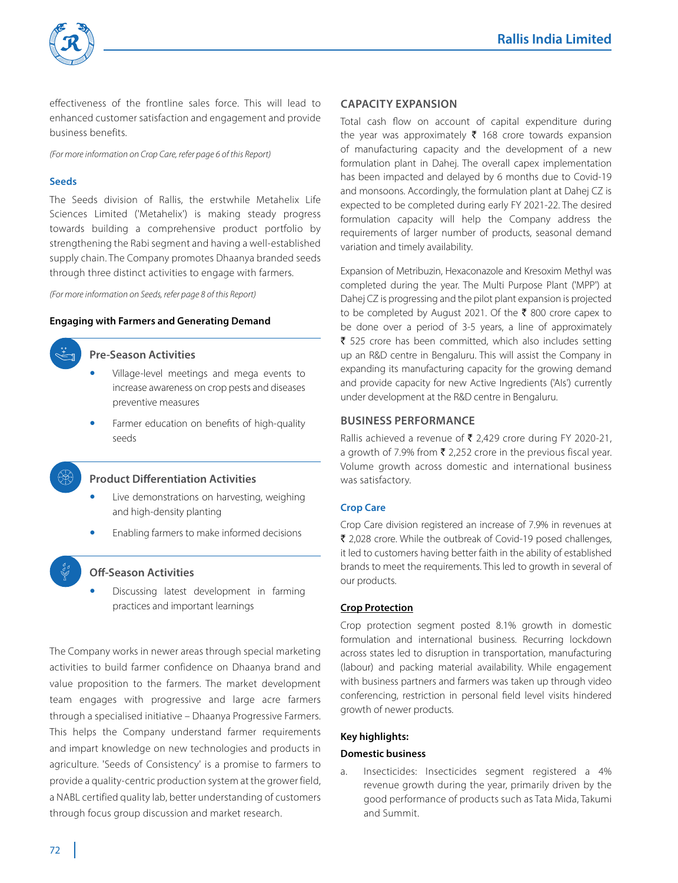

effectiveness of the frontline sales force. This will lead to enhanced customer satisfaction and engagement and provide business benefits.

*(For more information on Crop Care, refer page 6 of this Report)* 

#### **Seeds**

The Seeds division of Rallis, the erstwhile Metahelix Life Sciences Limited ('Metahelix') is making steady progress towards building a comprehensive product portfolio by strengthening the Rabi segment and having a well-established supply chain. The Company promotes Dhaanya branded seeds through three distinct activities to engage with farmers.

*(For more information on Seeds, refer page 8 of this Report)*

#### **Engaging with Farmers and Generating Demand**



#### **Pre-Season Activities**

- Village-level meetings and mega events to increase awareness on crop pests and diseases preventive measures
- Farmer education on benefits of high-quality seeds

### **Product Differentiation Activities**

- Live demonstrations on harvesting, weighing and high-density planting
- Enabling farmers to make informed decisions

#### **Off-Season Activities**

 Discussing latest development in farming practices and important learnings

The Company works in newer areas through special marketing activities to build farmer confidence on Dhaanya brand and value proposition to the farmers. The market development team engages with progressive and large acre farmers through a specialised initiative – Dhaanya Progressive Farmers. This helps the Company understand farmer requirements and impart knowledge on new technologies and products in agriculture. 'Seeds of Consistency' is a promise to farmers to provide a quality-centric production system at the grower field, a NABL certified quality lab, better understanding of customers through focus group discussion and market research.

#### **Capacity Expansion**

Total cash flow on account of capital expenditure during the year was approximately  $\bar{\tau}$  168 crore towards expansion of manufacturing capacity and the development of a new formulation plant in Dahej. The overall capex implementation has been impacted and delayed by 6 months due to Covid-19 and monsoons. Accordingly, the formulation plant at Dahej CZ is expected to be completed during early FY 2021-22. The desired formulation capacity will help the Company address the requirements of larger number of products, seasonal demand variation and timely availability.

Expansion of Metribuzin, Hexaconazole and Kresoxim Methyl was completed during the year. The Multi Purpose Plant ('MPP') at Dahej CZ is progressing and the pilot plant expansion is projected to be completed by August 2021. Of the  $\bar{\tau}$  800 crore capex to be done over a period of 3-5 years, a line of approximately  $\bar{\tau}$  525 crore has been committed, which also includes setting up an R&D centre in Bengaluru. This will assist the Company in expanding its manufacturing capacity for the growing demand and provide capacity for new Active Ingredients ('AIs') currently under development at the R&D centre in Bengaluru.

#### **Business Performance**

Rallis achieved a revenue of  $\bar{\tau}$  2,429 crore during FY 2020-21, a growth of 7.9% from  $\bar{\tau}$  2,252 crore in the previous fiscal year. Volume growth across domestic and international business was satisfactory.

#### **Crop Care**

Crop Care division registered an increase of 7.9% in revenues at ₹ 2,028 crore. While the outbreak of Covid-19 posed challenges, it led to customers having better faith in the ability of established brands to meet the requirements. This led to growth in several of our products.

#### **Crop Protection**

Crop protection segment posted 8.1% growth in domestic formulation and international business. Recurring lockdown across states led to disruption in transportation, manufacturing (labour) and packing material availability. While engagement with business partners and farmers was taken up through video conferencing, restriction in personal field level visits hindered growth of newer products.

#### **Key highlights:**

#### **Domestic business**

a. Insecticides: Insecticides segment registered a 4% revenue growth during the year, primarily driven by the good performance of products such as Tata Mida, Takumi and Summit.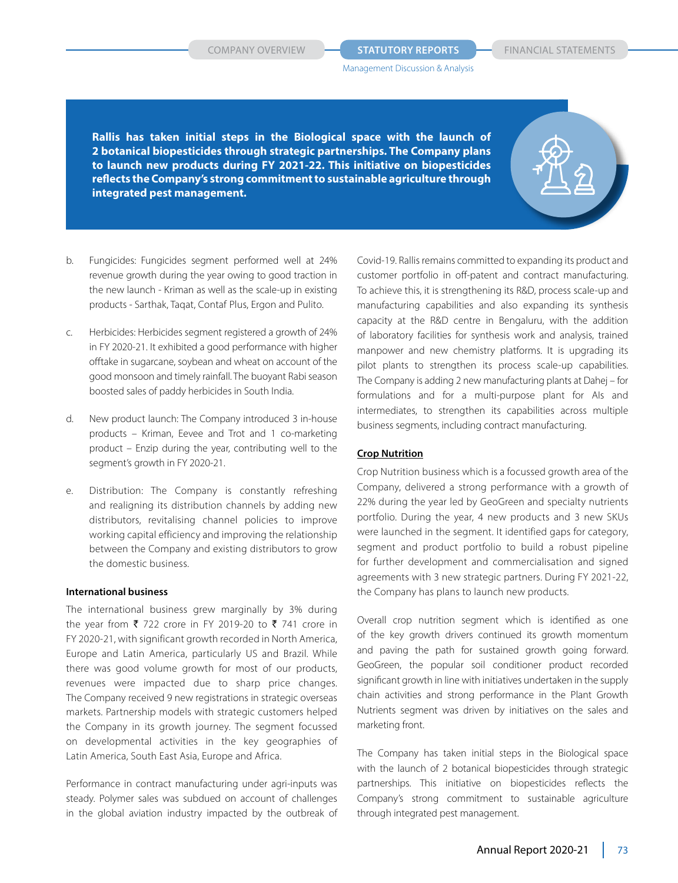**COMPANY OVERVIEW <b>STATUTORY REPORTS** FINANCIAL STATEMENTS

Management Discussion & Analysis

**Rallis has taken initial steps in the Biological space with the launch of 2 botanical biopesticides through strategic partnerships. The Company plans to launch new products during FY 2021-22. This initiative on biopesticides reflects the Company's strong commitment to sustainable agriculture through integrated pest management.**

- b. Fungicides: Fungicides segment performed well at 24% revenue growth during the year owing to good traction in the new launch - Kriman as well as the scale-up in existing products - Sarthak, Taqat, Contaf Plus, Ergon and Pulito.
- c. Herbicides: Herbicides segment registered a growth of 24% in FY 2020-21. It exhibited a good performance with higher offtake in sugarcane, soybean and wheat on account of the good monsoon and timely rainfall. The buoyant Rabi season boosted sales of paddy herbicides in South India.
- d. New product launch: The Company introduced 3 in-house products – Kriman, Eevee and Trot and 1 co-marketing product – Enzip during the year, contributing well to the segment's growth in FY 2020-21.
- e. Distribution: The Company is constantly refreshing and realigning its distribution channels by adding new distributors, revitalising channel policies to improve working capital efficiency and improving the relationship between the Company and existing distributors to grow the domestic business.

#### **International business**

The international business grew marginally by 3% during the year from  $\bar{\tau}$  722 crore in FY 2019-20 to  $\bar{\tau}$  741 crore in FY 2020-21, with significant growth recorded in North America, Europe and Latin America, particularly US and Brazil. While there was good volume growth for most of our products, revenues were impacted due to sharp price changes. The Company received 9 new registrations in strategic overseas markets. Partnership models with strategic customers helped the Company in its growth journey. The segment focussed on developmental activities in the key geographies of Latin America, South East Asia, Europe and Africa.

Performance in contract manufacturing under agri-inputs was steady. Polymer sales was subdued on account of challenges in the global aviation industry impacted by the outbreak of Covid-19. Rallis remains committed to expanding its product and customer portfolio in off-patent and contract manufacturing. To achieve this, it is strengthening its R&D, process scale-up and manufacturing capabilities and also expanding its synthesis capacity at the R&D centre in Bengaluru, with the addition of laboratory facilities for synthesis work and analysis, trained manpower and new chemistry platforms. It is upgrading its pilot plants to strengthen its process scale-up capabilities. The Company is adding 2 new manufacturing plants at Dahej – for formulations and for a multi-purpose plant for AIs and intermediates, to strengthen its capabilities across multiple business segments, including contract manufacturing.

#### **Crop Nutrition**

Crop Nutrition business which is a focussed growth area of the Company, delivered a strong performance with a growth of 22% during the year led by GeoGreen and specialty nutrients portfolio. During the year, 4 new products and 3 new SKUs were launched in the segment. It identified gaps for category, segment and product portfolio to build a robust pipeline for further development and commercialisation and signed agreements with 3 new strategic partners. During FY 2021-22, the Company has plans to launch new products.

Overall crop nutrition segment which is identified as one of the key growth drivers continued its growth momentum and paving the path for sustained growth going forward. GeoGreen, the popular soil conditioner product recorded significant growth in line with initiatives undertaken in the supply chain activities and strong performance in the Plant Growth Nutrients segment was driven by initiatives on the sales and marketing front.

The Company has taken initial steps in the Biological space with the launch of 2 botanical biopesticides through strategic partnerships. This initiative on biopesticides reflects the Company's strong commitment to sustainable agriculture through integrated pest management.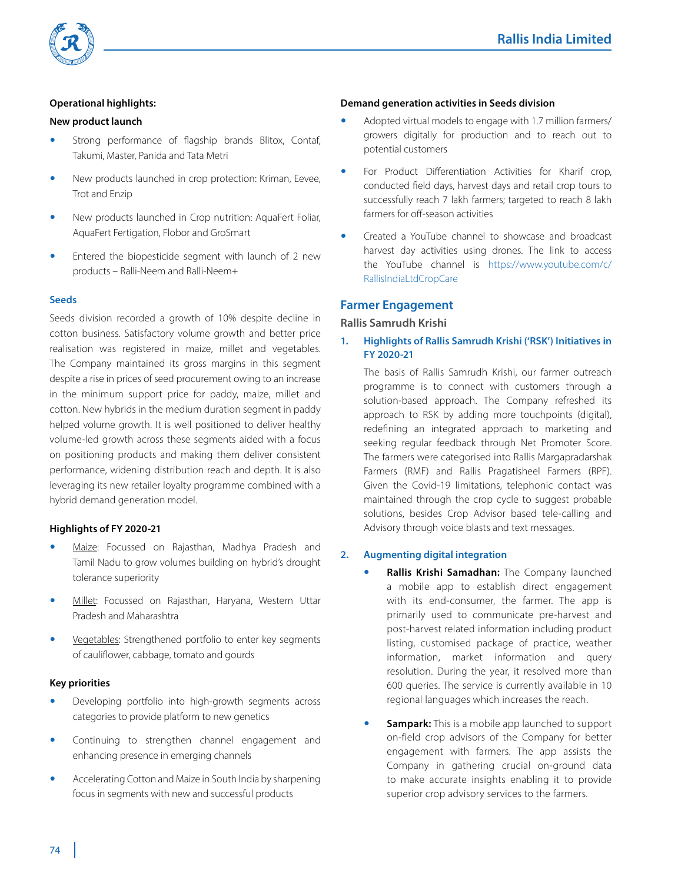

## **Operational highlights:**

#### **New product launch**

- Strong performance of flagship brands Blitox, Contaf, Takumi, Master, Panida and Tata Metri
- New products launched in crop protection: Kriman, Eevee, Trot and Enzip
- New products launched in Crop nutrition: AquaFert Foliar, AquaFert Fertigation, Flobor and GroSmart
- Entered the biopesticide segment with launch of 2 new products – Ralli-Neem and Ralli-Neem+

#### **Seeds**

Seeds division recorded a growth of 10% despite decline in cotton business. Satisfactory volume growth and better price realisation was registered in maize, millet and vegetables. The Company maintained its gross margins in this segment despite a rise in prices of seed procurement owing to an increase in the minimum support price for paddy, maize, millet and cotton. New hybrids in the medium duration segment in paddy helped volume growth. It is well positioned to deliver healthy volume-led growth across these segments aided with a focus on positioning products and making them deliver consistent performance, widening distribution reach and depth. It is also leveraging its new retailer loyalty programme combined with a hybrid demand generation model.

#### **Highlights of FY 2020-21**

- Maize: Focussed on Rajasthan, Madhya Pradesh and Tamil Nadu to grow volumes building on hybrid's drought tolerance superiority
- Millet: Focussed on Rajasthan, Haryana, Western Uttar Pradesh and Maharashtra
- Vegetables: Strengthened portfolio to enter key segments of cauliflower, cabbage, tomato and gourds

#### **Key priorities**

- Developing portfolio into high-growth segments across categories to provide platform to new genetics
- Continuing to strengthen channel engagement and enhancing presence in emerging channels
- Accelerating Cotton and Maize in South India by sharpening focus in segments with new and successful products

#### **Demand generation activities in Seeds division**

- Adopted virtual models to engage with 1.7 million farmers/ growers digitally for production and to reach out to potential customers
- For Product Differentiation Activities for Kharif crop, conducted field days, harvest days and retail crop tours to successfully reach 7 lakh farmers; targeted to reach 8 lakh farmers for off-season activities
- Created a YouTube channel to showcase and broadcast harvest day activities using drones. The link to access the YouTube channel is https://www.youtube.com/c/ RallisIndiaLtdCropCare

#### **Farmer Engagement**

#### **Rallis Samrudh Krishi**

**1. Highlights of Rallis Samrudh Krishi ('RSK') Initiatives in FY 2020-21**

 The basis of Rallis Samrudh Krishi, our farmer outreach programme is to connect with customers through a solution-based approach. The Company refreshed its approach to RSK by adding more touchpoints (digital), redefining an integrated approach to marketing and seeking regular feedback through Net Promoter Score. The farmers were categorised into Rallis Margapradarshak Farmers (RMF) and Rallis Pragatisheel Farmers (RPF). Given the Covid-19 limitations, telephonic contact was maintained through the crop cycle to suggest probable solutions, besides Crop Advisor based tele-calling and Advisory through voice blasts and text messages.

#### **2. Augmenting digital integration**

- **Rallis Krishi Samadhan:** The Company launched a mobile app to establish direct engagement with its end-consumer, the farmer. The app is primarily used to communicate pre-harvest and post-harvest related information including product listing, customised package of practice, weather information, market information and query resolution. During the year, it resolved more than 600 queries. The service is currently available in 10 regional languages which increases the reach.
- **Sampark:** This is a mobile app launched to support on-field crop advisors of the Company for better engagement with farmers. The app assists the Company in gathering crucial on-ground data to make accurate insights enabling it to provide superior crop advisory services to the farmers.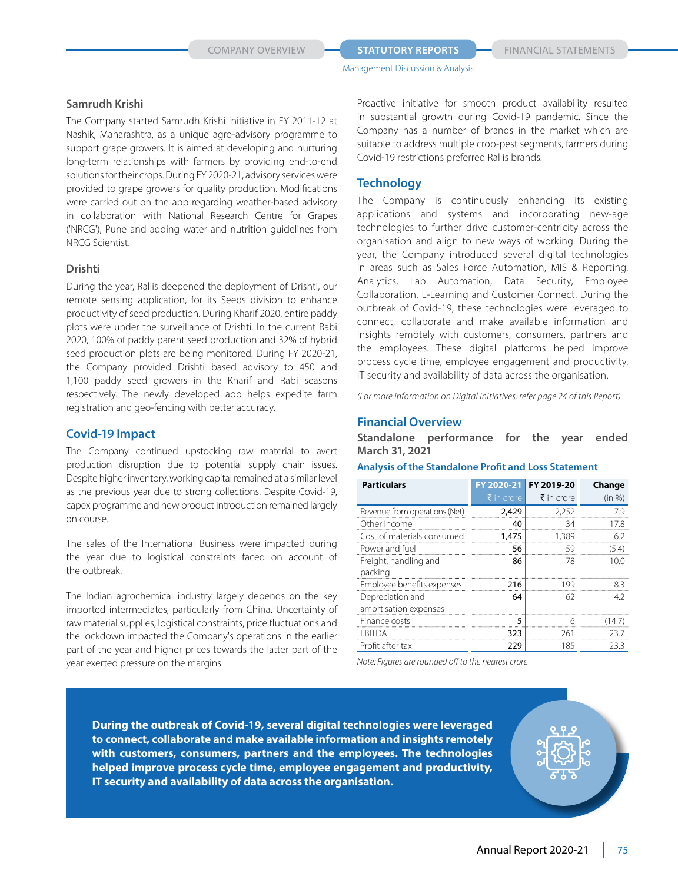#### **Samrudh Krishi**

The Company started Samrudh Krishi initiative in FY 2011-12 at Nashik, Maharashtra, as a unique agro-advisory programme to support grape growers. It is aimed at developing and nurturing long-term relationships with farmers by providing end-to-end solutions for their crops. During FY 2020-21, advisory services were provided to grape growers for quality production. Modifications were carried out on the app regarding weather-based advisory in collaboration with National Research Centre for Grapes ('NRCG'), Pune and adding water and nutrition guidelines from NRCG Scientist.

#### **Drishti**

During the year, Rallis deepened the deployment of Drishti, our remote sensing application, for its Seeds division to enhance productivity of seed production. During Kharif 2020, entire paddy plots were under the surveillance of Drishti. In the current Rabi 2020, 100% of paddy parent seed production and 32% of hybrid seed production plots are being monitored. During FY 2020-21, the Company provided Drishti based advisory to 450 and 1,100 paddy seed growers in the Kharif and Rabi seasons respectively. The newly developed app helps expedite farm registration and geo-fencing with better accuracy.

### **Covid-19 Impact**

The Company continued upstocking raw material to avert production disruption due to potential supply chain issues. Despite higher inventory, working capital remained at a similar level as the previous year due to strong collections. Despite Covid-19, capex programme and new product introduction remained largely on course.

The sales of the International Business were impacted during the year due to logistical constraints faced on account of the outbreak.

The Indian agrochemical industry largely depends on the key imported intermediates, particularly from China. Uncertainty of raw material supplies, logistical constraints, price fluctuations and the lockdown impacted the Company's operations in the earlier part of the year and higher prices towards the latter part of the year exerted pressure on the margins.

Proactive initiative for smooth product availability resulted in substantial growth during Covid-19 pandemic. Since the Company has a number of brands in the market which are suitable to address multiple crop-pest segments, farmers during Covid-19 restrictions preferred Rallis brands.

# **Technology**

The Company is continuously enhancing its existing applications and systems and incorporating new-age technologies to further drive customer-centricity across the organisation and align to new ways of working. During the year, the Company introduced several digital technologies in areas such as Sales Force Automation, MIS & Reporting, Analytics, Lab Automation, Data Security, Employee Collaboration, E-Learning and Customer Connect. During the outbreak of Covid-19, these technologies were leveraged to connect, collaborate and make available information and insights remotely with customers, consumers, partners and the employees. These digital platforms helped improve process cycle time, employee engagement and productivity, IT security and availability of data across the organisation.

*(For more information on Digital Initiatives, refer page 24 of this Report)*

### **Financial Overview**

**Standalone performance for the year ended March 31, 2021**

#### **Analysis of the Standalone Profit and Loss Statement**

| <b>Particulars</b>            | FY 2020-21 | FY 2019-20 | Change |
|-------------------------------|------------|------------|--------|
|                               | ₹ in crore | ₹ in crore | (in %) |
| Revenue from operations (Net) | 2,429      | 2,252      | 7.9    |
| Other income                  | 40         | 34         | 17.8   |
| Cost of materials consumed    | 1,475      | 1,389      | 6.2    |
| Power and fuel                | 56         | 59         | (5.4)  |
| Freight, handling and         | 86         | 78         | 100    |
| packing                       |            |            |        |
| Employee benefits expenses    | 216        | 199        | 83     |
| Depreciation and              | 64         | 62         | 42     |
| amortisation expenses         |            |            |        |
| Finance costs                 | 5          | 6          | (14.7) |
| <b>FBITDA</b>                 | 323        | 261        | 23.7   |
| Profit after tax              | 229        | 185        | 23.3   |

*Note: Figures are rounded off to the nearest crore*

**During the outbreak of Covid-19, several digital technologies were leveraged to connect, collaborate and make available information and insights remotely with customers, consumers, partners and the employees. The technologies helped improve process cycle time, employee engagement and productivity, IT security and availability of data across the organisation.**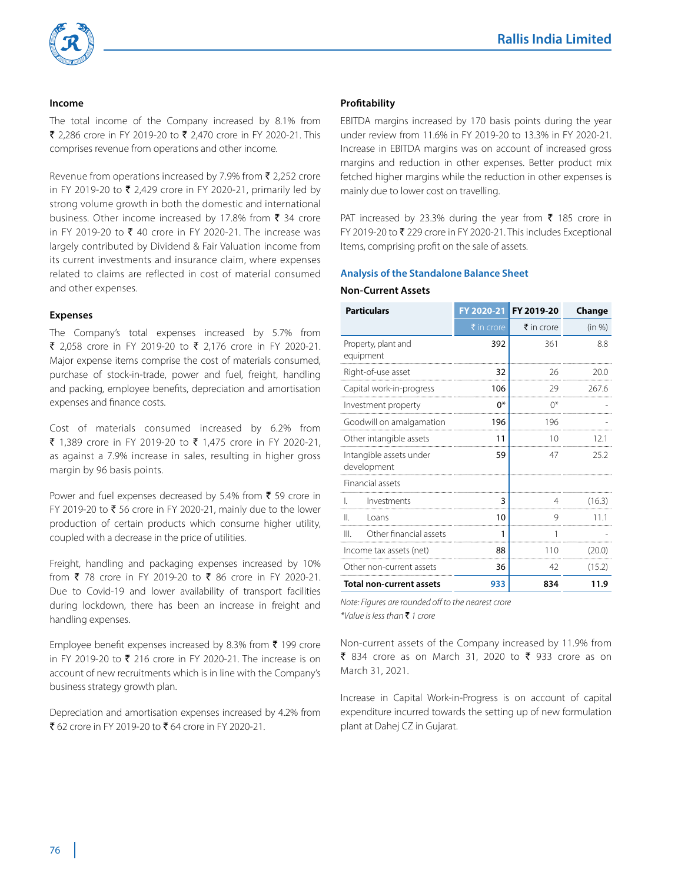

#### **Income**

The total income of the Company increased by 8.1% from ₹ 2,286 crore in FY 2019-20 to ₹ 2,470 crore in FY 2020-21. This comprises revenue from operations and other income.

Revenue from operations increased by 7.9% from  $\bar{\tau}$  2,252 crore in FY 2019-20 to  $\bar{\xi}$  2,429 crore in FY 2020-21, primarily led by strong volume growth in both the domestic and international business. Other income increased by 17.8% from  $\bar{\tau}$  34 crore in FY 2019-20 to  $\bar{\xi}$  40 crore in FY 2020-21. The increase was largely contributed by Dividend & Fair Valuation income from its current investments and insurance claim, where expenses related to claims are reflected in cost of material consumed and other expenses.

#### **Expenses**

The Company's total expenses increased by 5.7% from ₹ 2,058 crore in FY 2019-20 to ₹ 2,176 crore in FY 2020-21. Major expense items comprise the cost of materials consumed, purchase of stock-in-trade, power and fuel, freight, handling and packing, employee benefits, depreciation and amortisation expenses and finance costs.

Cost of materials consumed increased by 6.2% from ₹ 1,389 crore in FY 2019-20 to ₹ 1,475 crore in FY 2020-21, as against a 7.9% increase in sales, resulting in higher gross margin by 96 basis points.

Power and fuel expenses decreased by 5.4% from  $\bar{\tau}$  59 crore in FY 2019-20 to  $\bar{\phantom{1}}$  56 crore in FY 2020-21, mainly due to the lower production of certain products which consume higher utility, coupled with a decrease in the price of utilities.

Freight, handling and packaging expenses increased by 10% from ₹ 78 crore in FY 2019-20 to ₹ 86 crore in FY 2020-21. Due to Covid-19 and lower availability of transport facilities during lockdown, there has been an increase in freight and handling expenses.

Employee benefit expenses increased by 8.3% from  $\bar{\tau}$  199 crore in FY 2019-20 to  $\bar{\xi}$  216 crore in FY 2020-21. The increase is on account of new recruitments which is in line with the Company's business strategy growth plan.

Depreciation and amortisation expenses increased by 4.2% from ₹ 62 crore in FY 2019-20 to ₹ 64 crore in FY 2020-21.

#### **Profitability**

EBITDA margins increased by 170 basis points during the year under review from 11.6% in FY 2019-20 to 13.3% in FY 2020-21. Increase in EBITDA margins was on account of increased gross margins and reduction in other expenses. Better product mix fetched higher margins while the reduction in other expenses is mainly due to lower cost on travelling.

PAT increased by 23.3% during the year from  $\bar{\tau}$  185 crore in FY 2019-20 to  $\bar{\mathbf{z}}$  229 crore in FY 2020-21. This includes Exceptional Items, comprising profit on the sale of assets.

#### **Analysis of the Standalone Balance Sheet**

#### **Non-Current Assets**

| <b>Particulars</b>                     | FY 2020-21 | FY 2019-20            | Change |
|----------------------------------------|------------|-----------------------|--------|
|                                        | ₹ in crore | $\bar{\tau}$ in crore | (in %) |
| Property, plant and<br>equipment       | 392        | 361                   | 8.8    |
| Right-of-use asset                     | 32         | 26                    | 20.0   |
| Capital work-in-progress               | 106        | 29                    | 267.6  |
| Investment property                    | $0*$       | $0^*$                 |        |
| Goodwill on amalgamation               | 196        | 196                   |        |
| Other intangible assets                | 11         | 10                    | 121    |
| Intangible assets under<br>development | 59         | 47                    | 25.2   |
| <b>Financial assets</b>                |            |                       |        |
| Investments                            | 3          |                       | (16.3) |
| Ш<br>Loans                             | 10         |                       |        |
| Other financial assets<br>III.         | 1          |                       |        |
| Income tax assets (net)                | 88         | 110                   | (20.0) |
| Other non-current assets               | 36         | 42                    | (15.2) |
| Total non-current assets               | 933        | 834                   | 11.9   |

*Note: Figures are rounded off to the nearest crore \*Value is less than* ` *1 crore*

Non-current assets of the Company increased by 11.9% from ₹ 834 crore as on March 31, 2020 to ₹ 933 crore as on March 31, 2021.

Increase in Capital Work-in-Progress is on account of capital expenditure incurred towards the setting up of new formulation plant at Dahej CZ in Gujarat.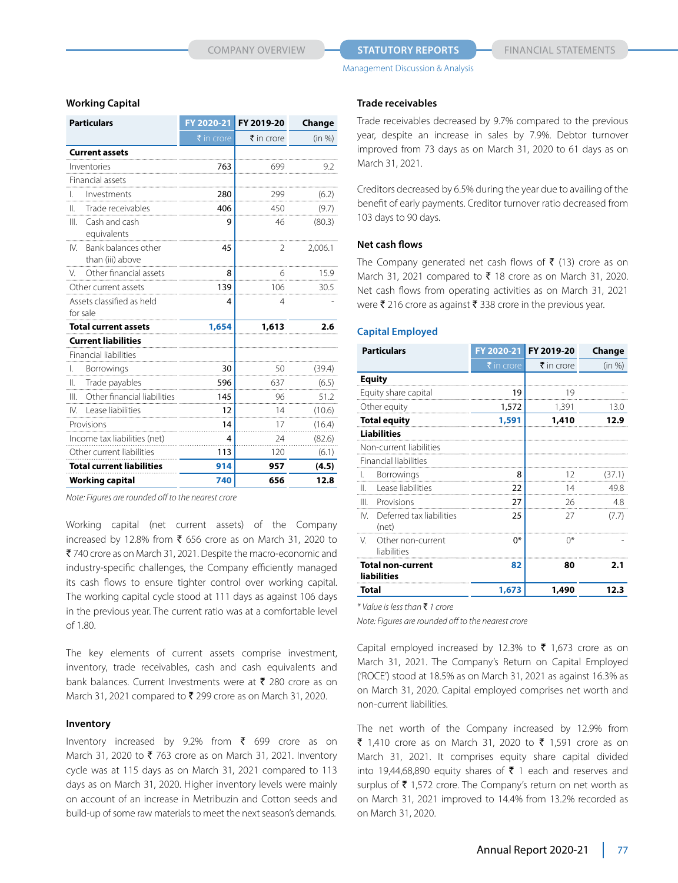#### **COMPANY OVERVIEW <b>STATUTORY REPORTS** FINANCIAL STATEMENTS

Management Discussion & Analysis

#### **Working Capital**

| <b>Particulars</b>                           | FY 2020-21 | FY 2019-20            | Change  |
|----------------------------------------------|------------|-----------------------|---------|
|                                              | ₹ in crore | $\bar{\tau}$ in crore | (in %)  |
| <b>Current assets</b>                        |            |                       |         |
| Inventories                                  | 763        | 699                   | 9.2     |
| Financial assets                             |            |                       |         |
| Investments                                  | 280        | 299                   | (6.2)   |
| Trade receivables<br>Ш.                      | 406        | 450                   | (9.7)   |
| Ш<br>Cash and cash<br>equivalents            | 9          | 46                    | (80.3)  |
| Bank balances other<br>N<br>than (iii) above | 45         | $\mathcal{P}$         | 2,006.1 |
| Other financial assets<br>V.                 | 8          | 6                     | 15.9    |
| Other current assets                         | 139        | 106                   | 30.5    |
| Assets classified as held                    | 4          | 4                     |         |
| for sale                                     |            |                       |         |
| <b>Total current assets</b>                  | 1,654      | 1,613                 | 2.6     |
| <b>Current liabilities</b>                   |            |                       |         |
| Financial liabilities                        |            |                       |         |
| Borrowings<br>L.                             | 30         | 50                    | (39.4)  |
| Trade payables<br>II.                        | 596        | 637                   | (6.5)   |
| Ш<br>Other financial liabilities             | 145        | 96                    | 51.2    |
| Lease liabilities<br>IV.                     | 12         | 14                    | (10.6)  |
| Provisions                                   | 14         | 17                    | (16.4)  |
| Income tax liabilities (net)                 | 4          | 24                    | (82.6)  |
| Other current liabilities                    | 113        | 120                   | (6.1)   |
| <b>Total current liabilities</b>             | 914        | 957                   | (4.5)   |
| <b>Working capital</b>                       | 740        | 656                   | 12.8    |

*Note: Figures are rounded off to the nearest crore*

Working capital (net current assets) of the Company increased by 12.8% from  $\bar{\tau}$  656 crore as on March 31, 2020 to ₹ 740 crore as on March 31, 2021. Despite the macro-economic and industry-specific challenges, the Company efficiently managed its cash flows to ensure tighter control over working capital. The working capital cycle stood at 111 days as against 106 days in the previous year. The current ratio was at a comfortable level of 1.80.

The key elements of current assets comprise investment, inventory, trade receivables, cash and cash equivalents and bank balances. Current Investments were at  $\bar{\tau}$  280 crore as on March 31, 2021 compared to  $\bar{\mathfrak{c}}$  299 crore as on March 31, 2020.

#### **Inventory**

Inventory increased by 9.2% from  $\bar{\tau}$  699 crore as on March 31, 2020 to  $\bar{\tau}$  763 crore as on March 31, 2021. Inventory cycle was at 115 days as on March 31, 2021 compared to 113 days as on March 31, 2020. Higher inventory levels were mainly on account of an increase in Metribuzin and Cotton seeds and build-up of some raw materials to meet the next season's demands.

#### **Trade receivables**

Trade receivables decreased by 9.7% compared to the previous year, despite an increase in sales by 7.9%. Debtor turnover improved from 73 days as on March 31, 2020 to 61 days as on March 31, 2021.

Creditors decreased by 6.5% during the year due to availing of the benefit of early payments. Creditor turnover ratio decreased from 103 days to 90 days.

#### **Net cash flows**

The Company generated net cash flows of  $\bar{\tau}$  (13) crore as on March 31, 2021 compared to  $\bar{\tau}$  18 crore as on March 31, 2020. Net cash flows from operating activities as on March 31, 2021 were  $\bar{\tau}$  216 crore as against  $\bar{\tau}$  338 crore in the previous year.

#### **Capital Employed**

| <b>Particulars</b>                             |            | FY 2020-21 FY 2019-20 | Change |
|------------------------------------------------|------------|-----------------------|--------|
|                                                | ₹ in crore | $\bar{\tau}$ in crore | (in %) |
| <b>Equity</b>                                  |            |                       |        |
| Equity share capital                           | 19         | 19                    |        |
| Other equity                                   | 1,572      | 1,391                 | 13.0   |
| <b>Total equity</b>                            | 1,591      | 1,410                 | 12.9   |
| <b>Liabilities</b>                             |            |                       |        |
| Non-current liabilities                        |            |                       |        |
| Financial liabilities                          |            |                       |        |
| <b>Borrowings</b><br>L.                        | 8          | 12                    | (37.1) |
| Lease liabilities<br>$\mathbf{H}$              | 22         | 14                    | 49.8   |
| $\mathbf{III}$<br>Provisions                   | 27         | 26                    | 4.8    |
| Deferred tax liabilities<br>IV.<br>(net)       | 25         | 27                    | (7.7)  |
| $\vee$<br>Other non-current<br>liabilities     | $0*$       | $0^*$                 |        |
| <b>Total non-current</b><br><b>liabilities</b> | 82         | 80                    | 2.1    |
| Total                                          | 1,673      | 1,490                 | 12.3   |

*\* Value is less than* ` *1 crore*

*Note: Figures are rounded off to the nearest crore*

Capital employed increased by 12.3% to  $\bar{\tau}$  1,673 crore as on March 31, 2021. The Company's Return on Capital Employed ('ROCE') stood at 18.5% as on March 31, 2021 as against 16.3% as on March 31, 2020. Capital employed comprises net worth and non-current liabilities.

The net worth of the Company increased by 12.9% from ₹ 1,410 crore as on March 31, 2020 to ₹ 1,591 crore as on March 31, 2021. It comprises equity share capital divided into 19,44,68,890 equity shares of  $\bar{\tau}$  1 each and reserves and surplus of  $\bar{\tau}$  1,572 crore. The Company's return on net worth as on March 31, 2021 improved to 14.4% from 13.2% recorded as on March 31, 2020.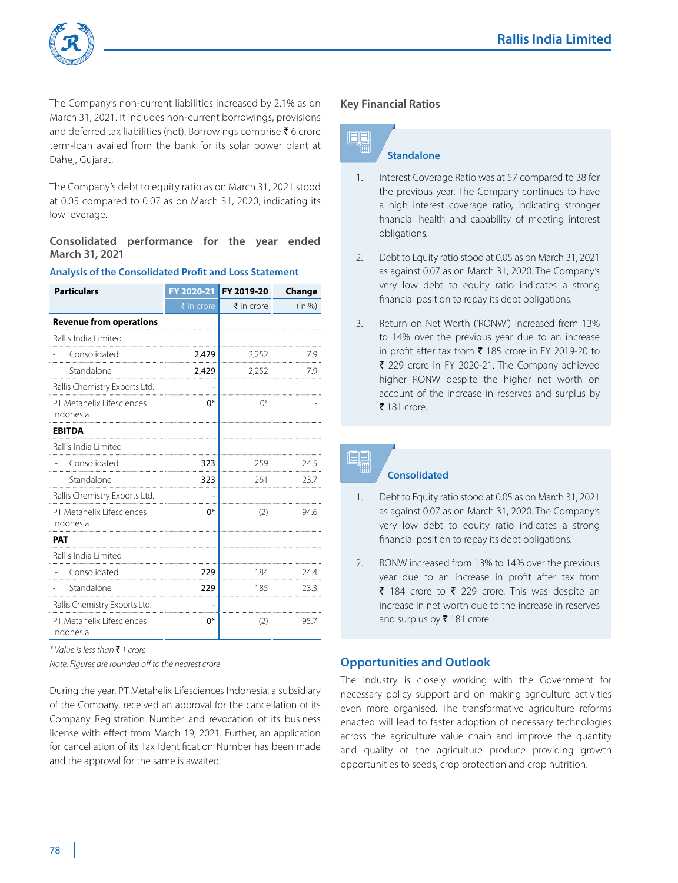

The Company's non-current liabilities increased by 2.1% as on March 31, 2021. It includes non-current borrowings, provisions and deferred tax liabilities (net). Borrowings comprise  $\bar{\tau}$  6 crore term-loan availed from the bank for its solar power plant at Dahej, Gujarat.

The Company's debt to equity ratio as on March 31, 2021 stood at 0.05 compared to 0.07 as on March 31, 2020, indicating its low leverage.

# **Consolidated performance for the year ended March 31, 2021**

| <b>Particulars</b>                     | FY 2020-21 | FY 2019-20            | Change |
|----------------------------------------|------------|-----------------------|--------|
|                                        | ₹ in crore | $\bar{\tau}$ in crore | (in %) |
| <b>Revenue from operations</b>         |            |                       |        |
| Rallis India Limited                   |            |                       |        |
| Consolidated                           | 2,429      | 2,252                 | 7.9    |
| Standalone                             | 2,429      | 2,252                 | 7.9    |
| Rallis Chemistry Exports Ltd.          |            |                       |        |
| PT Metahelix Lifesciences<br>Indonesia | 0*         | ∩*                    |        |
| <b>EBITDA</b>                          |            |                       |        |
| Rallis India Limited                   |            |                       |        |
| Consolidated                           | 323        | 259                   | 24.5   |
| Standalone                             | 323        | 261                   | 23.7   |
| Rallis Chemistry Exports Ltd.          |            |                       |        |
| PT Metahelix Lifesciences<br>Indonesia | $0*$       | (2)                   | 94.6   |
| <b>PAT</b>                             |            |                       |        |
| Rallis India Limited                   |            |                       |        |
| Consolidated                           | 229        | 184                   | 24.4   |
| Standalone                             | 229        | 185                   | 23.3   |
| Rallis Chemistry Exports Ltd.          |            |                       |        |
| PT Metahelix Lifesciences<br>Indonesia | 0*         | (2)                   | 95.7   |

**Analysis of the Consolidated Profit and Loss Statement**

*\* Value is less than* ` *1 crore*

*Note: Figures are rounded off to the nearest crore*

During the year, PT Metahelix Lifesciences Indonesia, a subsidiary of the Company, received an approval for the cancellation of its Company Registration Number and revocation of its business license with effect from March 19, 2021. Further, an application for cancellation of its Tax Identification Number has been made and the approval for the same is awaited.

#### **Key Financial Ratios**



# **Standalone**

- 1. Interest Coverage Ratio was at 57 compared to 38 for the previous year. The Company continues to have a high interest coverage ratio, indicating stronger financial health and capability of meeting interest obligations.
- 2. Debt to Equity ratio stood at 0.05 as on March 31, 2021 as against 0.07 as on March 31, 2020. The Company's very low debt to equity ratio indicates a strong financial position to repay its debt obligations.
- 3. Return on Net Worth ('RONW') increased from 13% to 14% over the previous year due to an increase in profit after tax from  $\bar{\tau}$  185 crore in FY 2019-20 to  $\bar{\tau}$  229 crore in FY 2020-21. The Company achieved higher RONW despite the higher net worth on account of the increase in reserves and surplus by  $\bar{\bar{\mathbf{z}}}$  181 crore.

# **Consolidated**

- 1. Debt to Equity ratio stood at 0.05 as on March 31, 2021 as against 0.07 as on March 31, 2020. The Company's very low debt to equity ratio indicates a strong financial position to repay its debt obligations.
- 2. RONW increased from 13% to 14% over the previous year due to an increase in profit after tax from ₹ 184 crore to ₹ 229 crore. This was despite an increase in net worth due to the increase in reserves and surplus by ₹ 181 crore.

# **Opportunities and Outlook**

The industry is closely working with the Government for necessary policy support and on making agriculture activities even more organised. The transformative agriculture reforms enacted will lead to faster adoption of necessary technologies across the agriculture value chain and improve the quantity and quality of the agriculture produce providing growth opportunities to seeds, crop protection and crop nutrition.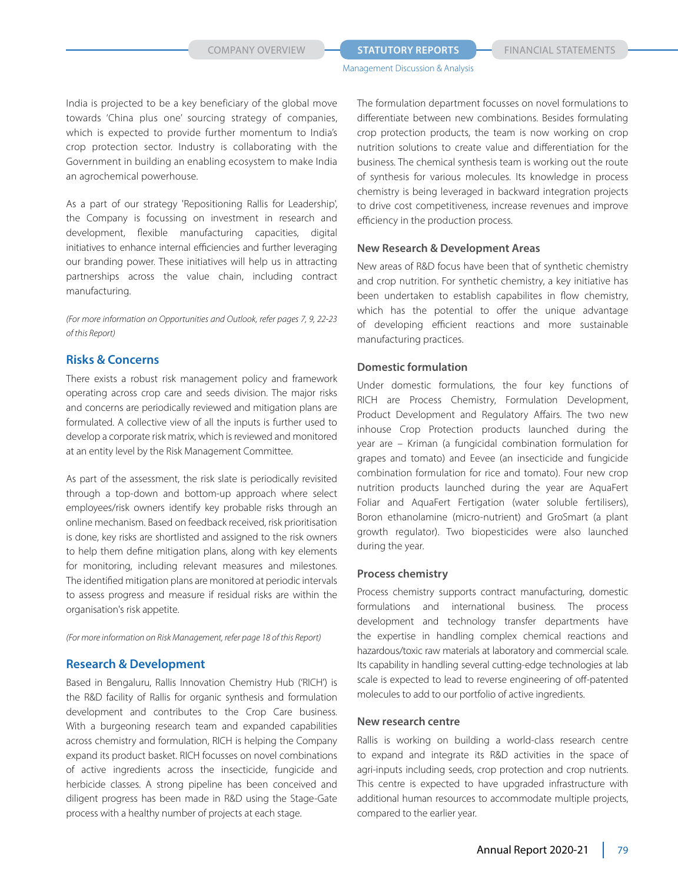India is projected to be a key beneficiary of the global move towards 'China plus one' sourcing strategy of companies, which is expected to provide further momentum to India's crop protection sector. Industry is collaborating with the Government in building an enabling ecosystem to make India an agrochemical powerhouse.

As a part of our strategy 'Repositioning Rallis for Leadership', the Company is focussing on investment in research and development, flexible manufacturing capacities, digital initiatives to enhance internal efficiencies and further leveraging our branding power. These initiatives will help us in attracting partnerships across the value chain, including contract manufacturing.

*(For more information on Opportunities and Outlook, refer pages 7, 9, 22-23 of this Report)*

#### **Risks & Concerns**

There exists a robust risk management policy and framework operating across crop care and seeds division. The major risks and concerns are periodically reviewed and mitigation plans are formulated. A collective view of all the inputs is further used to develop a corporate risk matrix, which is reviewed and monitored at an entity level by the Risk Management Committee.

As part of the assessment, the risk slate is periodically revisited through a top-down and bottom-up approach where select employees/risk owners identify key probable risks through an online mechanism. Based on feedback received, risk prioritisation is done, key risks are shortlisted and assigned to the risk owners to help them define mitigation plans, along with key elements for monitoring, including relevant measures and milestones. The identified mitigation plans are monitored at periodic intervals to assess progress and measure if residual risks are within the organisation's risk appetite.

*(For more information on Risk Management, refer page 18 of this Report)*

#### **Research & Development**

Based in Bengaluru, Rallis Innovation Chemistry Hub ('RICH') is the R&D facility of Rallis for organic synthesis and formulation development and contributes to the Crop Care business. With a burgeoning research team and expanded capabilities across chemistry and formulation, RICH is helping the Company expand its product basket. RICH focusses on novel combinations of active ingredients across the insecticide, fungicide and herbicide classes. A strong pipeline has been conceived and diligent progress has been made in R&D using the Stage-Gate process with a healthy number of projects at each stage.

The formulation department focusses on novel formulations to differentiate between new combinations. Besides formulating crop protection products, the team is now working on crop nutrition solutions to create value and differentiation for the business. The chemical synthesis team is working out the route of synthesis for various molecules. Its knowledge in process chemistry is being leveraged in backward integration projects to drive cost competitiveness, increase revenues and improve efficiency in the production process.

#### **New Research & Development Areas**

New areas of R&D focus have been that of synthetic chemistry and crop nutrition. For synthetic chemistry, a key initiative has been undertaken to establish capabilites in flow chemistry, which has the potential to offer the unique advantage of developing efficient reactions and more sustainable manufacturing practices.

#### **Domestic formulation**

Under domestic formulations, the four key functions of RICH are Process Chemistry, Formulation Development, Product Development and Regulatory Affairs. The two new inhouse Crop Protection products launched during the year are – Kriman (a fungicidal combination formulation for grapes and tomato) and Eevee (an insecticide and fungicide combination formulation for rice and tomato). Four new crop nutrition products launched during the year are AquaFert Foliar and AquaFert Fertigation (water soluble fertilisers), Boron ethanolamine (micro-nutrient) and GroSmart (a plant growth regulator). Two biopesticides were also launched during the year.

#### **Process chemistry**

Process chemistry supports contract manufacturing, domestic formulations and international business. The process development and technology transfer departments have the expertise in handling complex chemical reactions and hazardous/toxic raw materials at laboratory and commercial scale. Its capability in handling several cutting-edge technologies at lab scale is expected to lead to reverse engineering of off-patented molecules to add to our portfolio of active ingredients.

#### **New research centre**

Rallis is working on building a world-class research centre to expand and integrate its R&D activities in the space of agri-inputs including seeds, crop protection and crop nutrients. This centre is expected to have upgraded infrastructure with additional human resources to accommodate multiple projects, compared to the earlier year.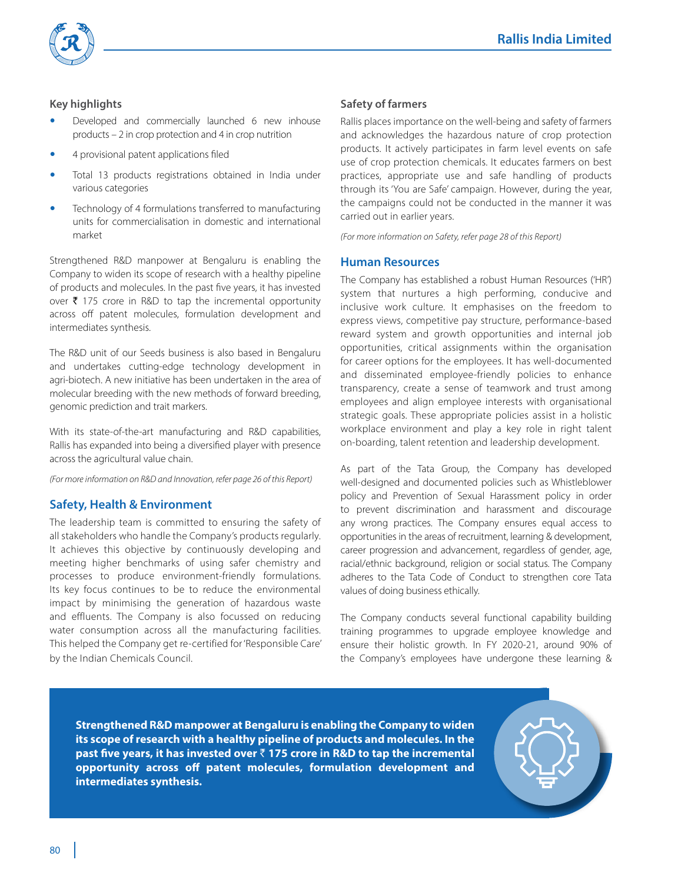



### **Key highlights**

- Developed and commercially launched 6 new inhouse products – 2 in crop protection and 4 in crop nutrition
- 4 provisional patent applications filed
- Total 13 products registrations obtained in India under various categories
- Technology of 4 formulations transferred to manufacturing units for commercialisation in domestic and international market

Strengthened R&D manpower at Bengaluru is enabling the Company to widen its scope of research with a healthy pipeline of products and molecules. In the past five years, it has invested over  $\bar{\tau}$  175 crore in R&D to tap the incremental opportunity across off patent molecules, formulation development and intermediates synthesis.

The R&D unit of our Seeds business is also based in Bengaluru and undertakes cutting-edge technology development in agri-biotech. A new initiative has been undertaken in the area of molecular breeding with the new methods of forward breeding, genomic prediction and trait markers.

With its state-of-the-art manufacturing and R&D capabilities, Rallis has expanded into being a diversified player with presence across the agricultural value chain.

*(For more information on R&D and Innovation, refer page 26 of this Report)*

# **Safety, Health & Environment**

The leadership team is committed to ensuring the safety of all stakeholders who handle the Company's products regularly. It achieves this objective by continuously developing and meeting higher benchmarks of using safer chemistry and processes to produce environment-friendly formulations. Its key focus continues to be to reduce the environmental impact by minimising the generation of hazardous waste and effluents. The Company is also focussed on reducing water consumption across all the manufacturing facilities. This helped the Company get re-certified for 'Responsible Care' by the Indian Chemicals Council.

#### **Safety of farmers**

Rallis places importance on the well-being and safety of farmers and acknowledges the hazardous nature of crop protection products. It actively participates in farm level events on safe use of crop protection chemicals. It educates farmers on best practices, appropriate use and safe handling of products through its 'You are Safe' campaign. However, during the year, the campaigns could not be conducted in the manner it was carried out in earlier years.

*(For more information on Safety, refer page 28 of this Report)*

#### **Human Resources**

The Company has established a robust Human Resources ('HR') system that nurtures a high performing, conducive and inclusive work culture. It emphasises on the freedom to express views, competitive pay structure, performance-based reward system and growth opportunities and internal job opportunities, critical assignments within the organisation for career options for the employees. It has well-documented and disseminated employee-friendly policies to enhance transparency, create a sense of teamwork and trust among employees and align employee interests with organisational strategic goals. These appropriate policies assist in a holistic workplace environment and play a key role in right talent on-boarding, talent retention and leadership development.

As part of the Tata Group, the Company has developed well-designed and documented policies such as Whistleblower policy and Prevention of Sexual Harassment policy in order to prevent discrimination and harassment and discourage any wrong practices. The Company ensures equal access to opportunities in the areas of recruitment, learning & development, career progression and advancement, regardless of gender, age, racial/ethnic background, religion or social status. The Company adheres to the Tata Code of Conduct to strengthen core Tata values of doing business ethically.

The Company conducts several functional capability building training programmes to upgrade employee knowledge and ensure their holistic growth. In FY 2020-21, around 90% of the Company's employees have undergone these learning &

**Strengthened R&D manpower at Bengaluru is enabling the Company to widen its scope of research with a healthy pipeline of products and molecules. In the past five years, it has invested over** ` **175 crore in R&D to tap the incremental opportunity across off patent molecules, formulation development and intermediates synthesis.**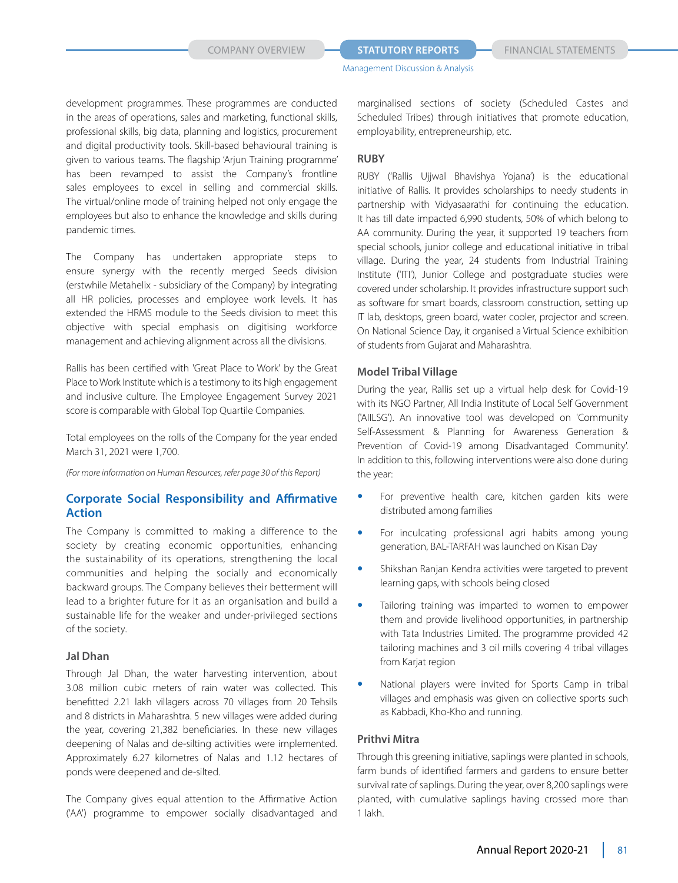development programmes. These programmes are conducted in the areas of operations, sales and marketing, functional skills, professional skills, big data, planning and logistics, procurement and digital productivity tools. Skill-based behavioural training is given to various teams. The flagship 'Arjun Training programme' has been revamped to assist the Company's frontline sales employees to excel in selling and commercial skills. The virtual/online mode of training helped not only engage the employees but also to enhance the knowledge and skills during pandemic times.

The Company has undertaken appropriate steps to ensure synergy with the recently merged Seeds division (erstwhile Metahelix - subsidiary of the Company) by integrating all HR policies, processes and employee work levels. It has extended the HRMS module to the Seeds division to meet this objective with special emphasis on digitising workforce management and achieving alignment across all the divisions.

Rallis has been certified with 'Great Place to Work' by the Great Place to Work Institute which is a testimony to its high engagement and inclusive culture. The Employee Engagement Survey 2021 score is comparable with Global Top Quartile Companies.

Total employees on the rolls of the Company for the year ended March 31, 2021 were 1,700.

*(For more information on Human Resources, refer page 30 of this Report)*

### **Corporate Social Responsibility and Affirmative Action**

The Company is committed to making a difference to the society by creating economic opportunities, enhancing the sustainability of its operations, strengthening the local communities and helping the socially and economically backward groups. The Company believes their betterment will lead to a brighter future for it as an organisation and build a sustainable life for the weaker and under-privileged sections of the society.

#### **Jal Dhan**

Through Jal Dhan, the water harvesting intervention, about 3.08 million cubic meters of rain water was collected. This benefitted 2.21 lakh villagers across 70 villages from 20 Tehsils and 8 districts in Maharashtra. 5 new villages were added during the year, covering 21,382 beneficiaries. In these new villages deepening of Nalas and de-silting activities were implemented. Approximately 6.27 kilometres of Nalas and 1.12 hectares of ponds were deepened and de-silted.

The Company gives equal attention to the Affirmative Action ('AA') programme to empower socially disadvantaged and

marginalised sections of society (Scheduled Castes and Scheduled Tribes) through initiatives that promote education, employability, entrepreneurship, etc.

#### **RUBY**

RUBY ('Rallis Ujjwal Bhavishya Yojana') is the educational initiative of Rallis. It provides scholarships to needy students in partnership with Vidyasaarathi for continuing the education. It has till date impacted 6,990 students, 50% of which belong to AA community. During the year, it supported 19 teachers from special schools, junior college and educational initiative in tribal village. During the year, 24 students from Industrial Training Institute ('ITI'), Junior College and postgraduate studies were covered under scholarship. It provides infrastructure support such as software for smart boards, classroom construction, setting up IT lab, desktops, green board, water cooler, projector and screen. On National Science Day, it organised a Virtual Science exhibition of students from Gujarat and Maharashtra.

#### **Model Tribal Village**

During the year, Rallis set up a virtual help desk for Covid-19 with its NGO Partner, All India Institute of Local Self Government ('AIILSG'). An innovative tool was developed on 'Community Self-Assessment & Planning for Awareness Generation & Prevention of Covid-19 among Disadvantaged Community'. In addition to this, following interventions were also done during the year:

- For preventive health care, kitchen garden kits were distributed among families
- For inculcating professional agri habits among young generation, BAL-TARFAH was launched on Kisan Day
- Shikshan Ranjan Kendra activities were targeted to prevent learning gaps, with schools being closed
- Tailoring training was imparted to women to empower them and provide livelihood opportunities, in partnership with Tata Industries Limited. The programme provided 42 tailoring machines and 3 oil mills covering 4 tribal villages from Karjat region
- National players were invited for Sports Camp in tribal villages and emphasis was given on collective sports such as Kabbadi, Kho-Kho and running.

#### **Prithvi Mitra**

Through this greening initiative, saplings were planted in schools, farm bunds of identified farmers and gardens to ensure better survival rate of saplings. During the year, over 8,200 saplings were planted, with cumulative saplings having crossed more than 1 lakh.